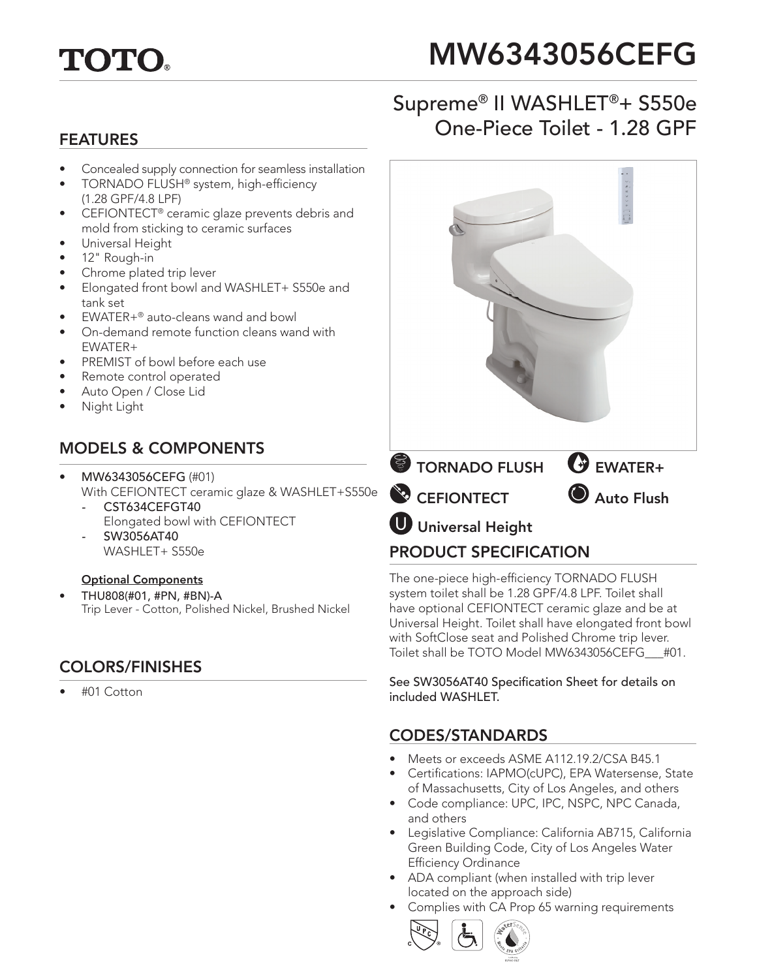

# MW6343056CEFG

# Supreme® II WASHLET®+ S550e Examples FEATURES FEATURES

- Concealed supply connection for seamless installation
- TORNADO FLUSH® system, high-efficiency (1.28 GPF/4.8 LPF)
- CEFIONTECT® ceramic glaze prevents debris and mold from sticking to ceramic surfaces
- Universal Height
- 12" Rough-in
- Chrome plated trip lever
- Elongated front bowl and WASHLET+ S550e and tank set
- $FWATFR+<sup>®</sup>$  auto-cleans wand and bowl
- On-demand remote function cleans wand with EWATER+
- PREMIST of bowl before each use
- Remote control operated
- Auto Open / Close Lid
- Night Light

#### MODELS & COMPONENTS

- MW6343056CEFG (#01) With CEFIONTECT ceramic glaze & WASHLET+S550e
	- CST634CEFGT40 Elongated bowl with CEFIONTECT *-* SW3056AT40
	- WASHLET+ S550e

#### Optional Components

• THU808(#01, #PN, #BN)-A Trip Lever - Cotton, Polished Nickel, Brushed Nickel

#### COLORS/FINISHES

• #01 Cotton



The one-piece high-efficiency TORNADO FLUSH system toilet shall be 1.28 GPF/4.8 LPF. Toilet shall have optional CEFIONTECT ceramic glaze and be at Universal Height. Toilet shall have elongated front bowl with SoftClose seat and Polished Chrome trip lever. Toilet shall be TOTO Model MW6343056CEFG\_\_\_#01.

See SW3056AT40 Specification Sheet for details on included WASHLET.

#### CODES/STANDARDS

- Meets or exceeds ASME A112.19.2/CSA B45.1
- Certifications: IAPMO(cUPC), EPA Watersense, State of Massachusetts, City of Los Angeles, and others
- Code compliance: UPC, IPC, NSPC, NPC Canada, and others
- Legislative Compliance: California AB715, California Green Building Code, City of Los Angeles Water Efficiency Ordinance
- ADA compliant (when installed with trip lever located on the approach side)
- Complies with CA Prop 65 warning requirements